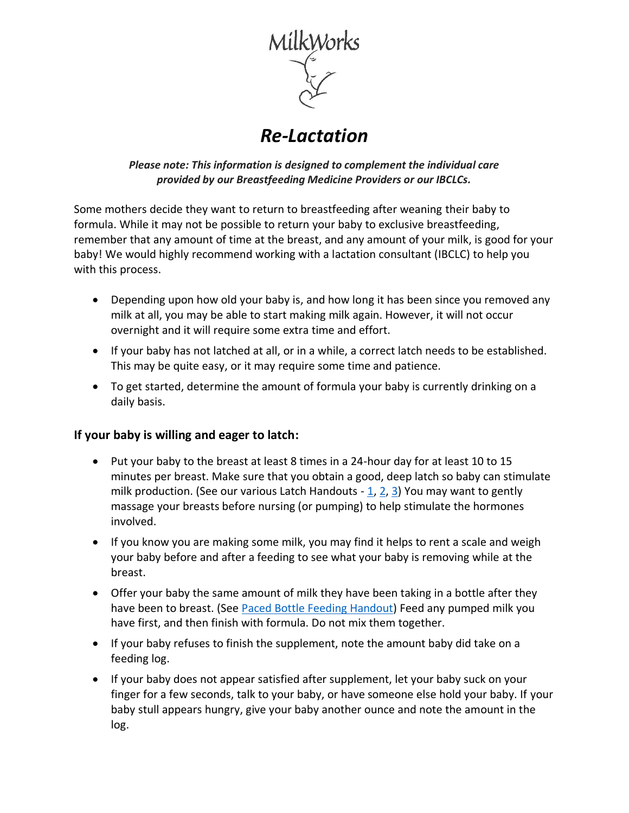

## *Re-Lactation*

*Please note: This information is designed to complement the individual care provided by our Breastfeeding Medicine Providers or our IBCLCs.*

Some mothers decide they want to return to breastfeeding after weaning their baby to formula. While it may not be possible to return your baby to exclusive breastfeeding, remember that any amount of time at the breast, and any amount of your milk, is good for your baby! We would highly recommend working with a lactation consultant (IBCLC) to help you with this process.

- Depending upon how old your baby is, and how long it has been since you removed any milk at all, you may be able to start making milk again. However, it will not occur overnight and it will require some extra time and effort.
- If your baby has not latched at all, or in a while, a correct latch needs to be established. This may be quite easy, or it may require some time and patience.
- To get started, determine the amount of formula your baby is currently drinking on a daily basis.

## **If your baby is willing and eager to latch:**

- Put your baby to the breast at least 8 times in a 24-hour day for at least 10 to 15 minutes per breast. Make sure that you obtain a good, deep latch so baby can stimulate milk production. (See our various Latch Handouts  $-1$ , [2,](https://milkworks.org/file_download/inline/75cceecb-0e16-4491-bb98-aef31de75cf4) [3\)](https://milkworks.org/file_download/inline/626f733d-a932-4bc8-928a-324a1ef2b811) You may want to gently massage your breasts before nursing (or pumping) to help stimulate the hormones involved.
- If you know you are making some milk, you may find it helps to rent a scale and weigh your baby before and after a feeding to see what your baby is removing while at the breast.
- Offer your baby the same amount of milk they have been taking in a bottle after they have been to breast. (See [Paced Bottle Feeding Handout\)](https://milkworks.org/file_download/inline/126c9c56-4a4f-4ba9-af9a-80f8fc68a1cb) Feed any pumped milk you have first, and then finish with formula. Do not mix them together.
- If your baby refuses to finish the supplement, note the amount baby did take on a feeding log.
- If your baby does not appear satisfied after supplement, let your baby suck on your finger for a few seconds, talk to your baby, or have someone else hold your baby. If your baby stull appears hungry, give your baby another ounce and note the amount in the log.